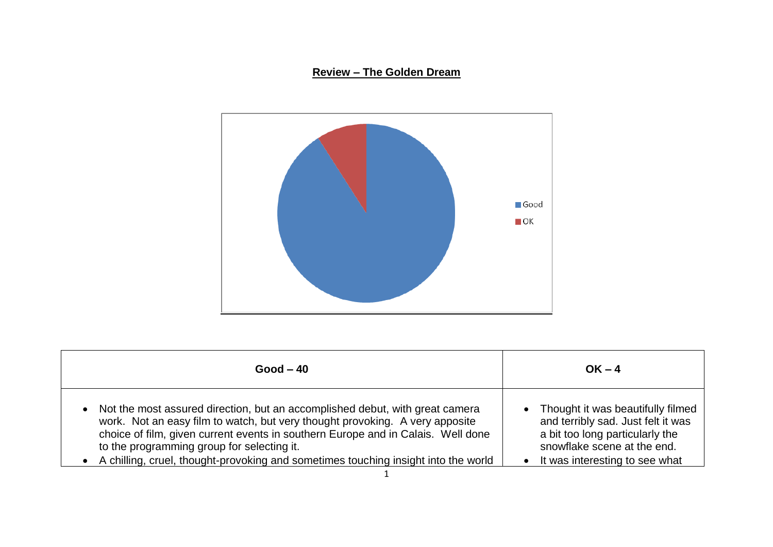## **Review – The Golden Dream**



| $Good - 40$                                                                                                                                                                                                                                                                                                                                                                                                    | $OK - 4$                                                                                                                                                                    |
|----------------------------------------------------------------------------------------------------------------------------------------------------------------------------------------------------------------------------------------------------------------------------------------------------------------------------------------------------------------------------------------------------------------|-----------------------------------------------------------------------------------------------------------------------------------------------------------------------------|
| Not the most assured direction, but an accomplished debut, with great camera<br>$\bullet$<br>work. Not an easy film to watch, but very thought provoking. A very apposite<br>choice of film, given current events in southern Europe and in Calais. Well done<br>to the programming group for selecting it.<br>A chilling, cruel, thought-provoking and sometimes touching insight into the world<br>$\bullet$ | Thought it was beautifully filmed<br>and terribly sad. Just felt it was<br>a bit too long particularly the<br>snowflake scene at the end.<br>It was interesting to see what |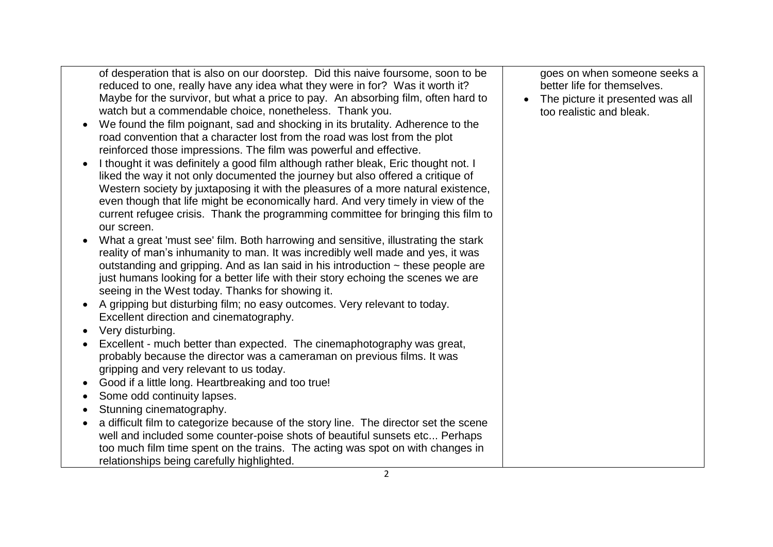| of desperation that is also on our doorstep. Did this naive foursome, soon to be<br>reduced to one, really have any idea what they were in for? Was it worth it?<br>Maybe for the survivor, but what a price to pay. An absorbing film, often hard to<br>watch but a commendable choice, nonetheless. Thank you.<br>We found the film poignant, sad and shocking in its brutality. Adherence to the<br>$\bullet$<br>road convention that a character lost from the road was lost from the plot<br>reinforced those impressions. The film was powerful and effective.<br>I thought it was definitely a good film although rather bleak, Eric thought not. I<br>liked the way it not only documented the journey but also offered a critique of<br>Western society by juxtaposing it with the pleasures of a more natural existence,<br>even though that life might be economically hard. And very timely in view of the<br>current refugee crisis. Thank the programming committee for bringing this film to<br>our screen.<br>What a great 'must see' film. Both harrowing and sensitive, illustrating the stark<br>reality of man's inhumanity to man. It was incredibly well made and yes, it was<br>outstanding and gripping. And as Ian said in his introduction $\sim$ these people are<br>just humans looking for a better life with their story echoing the scenes we are<br>seeing in the West today. Thanks for showing it.<br>A gripping but disturbing film; no easy outcomes. Very relevant to today.<br>Excellent direction and cinematography.<br>Very disturbing. | goes on when someone seeks a<br>better life for themselves.<br>The picture it presented was all<br>$\bullet$<br>too realistic and bleak. |
|----------------------------------------------------------------------------------------------------------------------------------------------------------------------------------------------------------------------------------------------------------------------------------------------------------------------------------------------------------------------------------------------------------------------------------------------------------------------------------------------------------------------------------------------------------------------------------------------------------------------------------------------------------------------------------------------------------------------------------------------------------------------------------------------------------------------------------------------------------------------------------------------------------------------------------------------------------------------------------------------------------------------------------------------------------------------------------------------------------------------------------------------------------------------------------------------------------------------------------------------------------------------------------------------------------------------------------------------------------------------------------------------------------------------------------------------------------------------------------------------------------------------------------------------------------------------------------|------------------------------------------------------------------------------------------------------------------------------------------|
| Excellent - much better than expected. The cinemaphotography was great,<br>probably because the director was a cameraman on previous films. It was<br>gripping and very relevant to us today.                                                                                                                                                                                                                                                                                                                                                                                                                                                                                                                                                                                                                                                                                                                                                                                                                                                                                                                                                                                                                                                                                                                                                                                                                                                                                                                                                                                    |                                                                                                                                          |
| Good if a little long. Heartbreaking and too true!                                                                                                                                                                                                                                                                                                                                                                                                                                                                                                                                                                                                                                                                                                                                                                                                                                                                                                                                                                                                                                                                                                                                                                                                                                                                                                                                                                                                                                                                                                                               |                                                                                                                                          |
| Some odd continuity lapses.<br>$\bullet$                                                                                                                                                                                                                                                                                                                                                                                                                                                                                                                                                                                                                                                                                                                                                                                                                                                                                                                                                                                                                                                                                                                                                                                                                                                                                                                                                                                                                                                                                                                                         |                                                                                                                                          |
| Stunning cinematography.                                                                                                                                                                                                                                                                                                                                                                                                                                                                                                                                                                                                                                                                                                                                                                                                                                                                                                                                                                                                                                                                                                                                                                                                                                                                                                                                                                                                                                                                                                                                                         |                                                                                                                                          |
| a difficult film to categorize because of the story line. The director set the scene<br>$\bullet$                                                                                                                                                                                                                                                                                                                                                                                                                                                                                                                                                                                                                                                                                                                                                                                                                                                                                                                                                                                                                                                                                                                                                                                                                                                                                                                                                                                                                                                                                |                                                                                                                                          |
| well and included some counter-poise shots of beautiful sunsets etc Perhaps                                                                                                                                                                                                                                                                                                                                                                                                                                                                                                                                                                                                                                                                                                                                                                                                                                                                                                                                                                                                                                                                                                                                                                                                                                                                                                                                                                                                                                                                                                      |                                                                                                                                          |
| too much film time spent on the trains. The acting was spot on with changes in<br>relationships being carefully highlighted.                                                                                                                                                                                                                                                                                                                                                                                                                                                                                                                                                                                                                                                                                                                                                                                                                                                                                                                                                                                                                                                                                                                                                                                                                                                                                                                                                                                                                                                     |                                                                                                                                          |
|                                                                                                                                                                                                                                                                                                                                                                                                                                                                                                                                                                                                                                                                                                                                                                                                                                                                                                                                                                                                                                                                                                                                                                                                                                                                                                                                                                                                                                                                                                                                                                                  |                                                                                                                                          |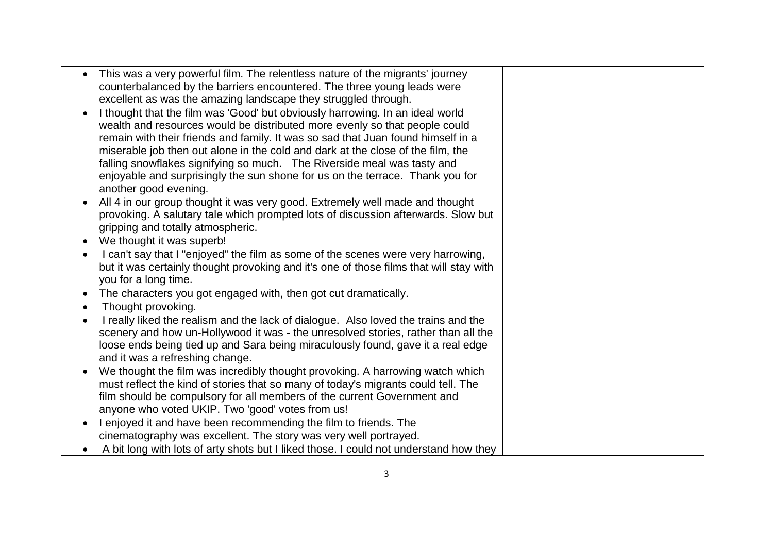| $\bullet$ | This was a very powerful film. The relentless nature of the migrants' journey          |  |
|-----------|----------------------------------------------------------------------------------------|--|
|           | counterbalanced by the barriers encountered. The three young leads were                |  |
|           | excellent as was the amazing landscape they struggled through.                         |  |
| $\bullet$ | I thought that the film was 'Good' but obviously harrowing. In an ideal world          |  |
|           | wealth and resources would be distributed more evenly so that people could             |  |
|           | remain with their friends and family. It was so sad that Juan found himself in a       |  |
|           | miserable job then out alone in the cold and dark at the close of the film, the        |  |
|           | falling snowflakes signifying so much. The Riverside meal was tasty and                |  |
|           | enjoyable and surprisingly the sun shone for us on the terrace. Thank you for          |  |
|           | another good evening.                                                                  |  |
|           | All 4 in our group thought it was very good. Extremely well made and thought           |  |
|           | provoking. A salutary tale which prompted lots of discussion afterwards. Slow but      |  |
|           | gripping and totally atmospheric.                                                      |  |
|           | We thought it was superb!                                                              |  |
|           | I can't say that I "enjoyed" the film as some of the scenes were very harrowing,       |  |
|           | but it was certainly thought provoking and it's one of those films that will stay with |  |
|           | you for a long time.                                                                   |  |
|           | The characters you got engaged with, then got cut dramatically.                        |  |
|           | Thought provoking.                                                                     |  |
|           | I really liked the realism and the lack of dialogue. Also loved the trains and the     |  |
|           | scenery and how un-Hollywood it was - the unresolved stories, rather than all the      |  |
|           | loose ends being tied up and Sara being miraculously found, gave it a real edge        |  |
|           | and it was a refreshing change.                                                        |  |
| $\bullet$ | We thought the film was incredibly thought provoking. A harrowing watch which          |  |
|           | must reflect the kind of stories that so many of today's migrants could tell. The      |  |
|           | film should be compulsory for all members of the current Government and                |  |
|           | anyone who voted UKIP. Two 'good' votes from us!                                       |  |
| $\bullet$ | I enjoyed it and have been recommending the film to friends. The                       |  |
|           | cinematography was excellent. The story was very well portrayed.                       |  |
|           | A bit long with lots of arty shots but I liked those. I could not understand how they  |  |